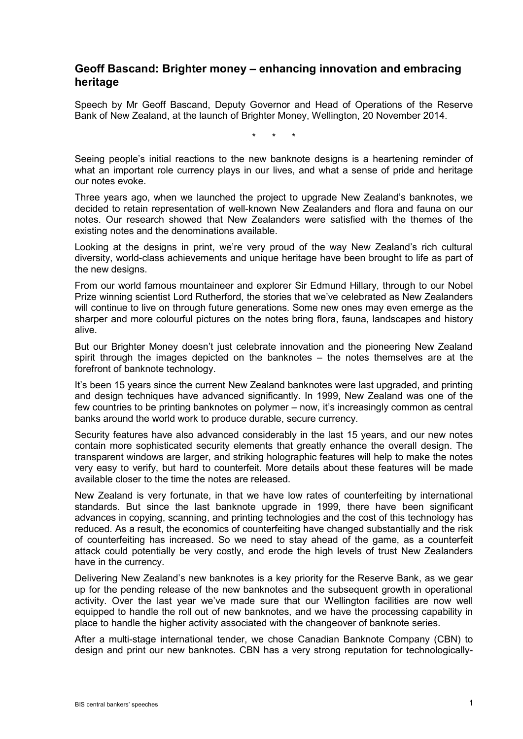## **Geoff Bascand: Brighter money – enhancing innovation and embracing heritage**

Speech by Mr Geoff Bascand, Deputy Governor and Head of Operations of the Reserve Bank of New Zealand, at the launch of Brighter Money, Wellington, 20 November 2014.

\* \* \*

Seeing people's initial reactions to the new banknote designs is a heartening reminder of what an important role currency plays in our lives, and what a sense of pride and heritage our notes evoke.

Three years ago, when we launched the project to upgrade New Zealand's banknotes, we decided to retain representation of well-known New Zealanders and flora and fauna on our notes. Our research showed that New Zealanders were satisfied with the themes of the existing notes and the denominations available.

Looking at the designs in print, we're very proud of the way New Zealand's rich cultural diversity, world-class achievements and unique heritage have been brought to life as part of the new designs.

From our world famous mountaineer and explorer Sir Edmund Hillary, through to our Nobel Prize winning scientist Lord Rutherford, the stories that we've celebrated as New Zealanders will continue to live on through future generations. Some new ones may even emerge as the sharper and more colourful pictures on the notes bring flora, fauna, landscapes and history alive.

But our Brighter Money doesn't just celebrate innovation and the pioneering New Zealand spirit through the images depicted on the banknotes – the notes themselves are at the forefront of banknote technology.

It's been 15 years since the current New Zealand banknotes were last upgraded, and printing and design techniques have advanced significantly. In 1999, New Zealand was one of the few countries to be printing banknotes on polymer – now, it's increasingly common as central banks around the world work to produce durable, secure currency.

Security features have also advanced considerably in the last 15 years, and our new notes contain more sophisticated security elements that greatly enhance the overall design. The transparent windows are larger, and striking holographic features will help to make the notes very easy to verify, but hard to counterfeit. More details about these features will be made available closer to the time the notes are released.

New Zealand is very fortunate, in that we have low rates of counterfeiting by international standards. But since the last banknote upgrade in 1999, there have been significant advances in copying, scanning, and printing technologies and the cost of this technology has reduced. As a result, the economics of counterfeiting have changed substantially and the risk of counterfeiting has increased. So we need to stay ahead of the game, as a counterfeit attack could potentially be very costly, and erode the high levels of trust New Zealanders have in the currency.

Delivering New Zealand's new banknotes is a key priority for the Reserve Bank, as we gear up for the pending release of the new banknotes and the subsequent growth in operational activity. Over the last year we've made sure that our Wellington facilities are now well equipped to handle the roll out of new banknotes, and we have the processing capability in place to handle the higher activity associated with the changeover of banknote series.

After a multi-stage international tender, we chose Canadian Banknote Company (CBN) to design and print our new banknotes. CBN has a very strong reputation for technologically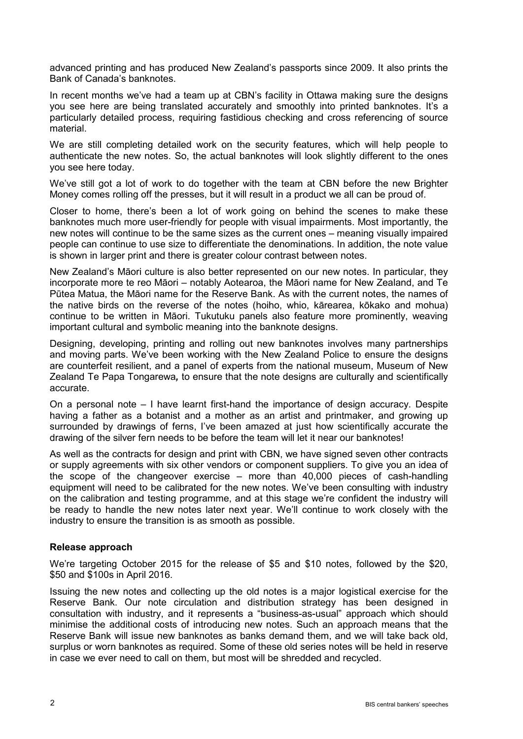advanced printing and has produced New Zealand's passports since 2009. It also prints the Bank of Canada's banknotes.

In recent months we've had a team up at CBN's facility in Ottawa making sure the designs you see here are being translated accurately and smoothly into printed banknotes. It's a particularly detailed process, requiring fastidious checking and cross referencing of source material.

We are still completing detailed work on the security features, which will help people to authenticate the new notes. So, the actual banknotes will look slightly different to the ones you see here today.

We've still got a lot of work to do together with the team at CBN before the new Brighter Money comes rolling off the presses, but it will result in a product we all can be proud of.

Closer to home, there's been a lot of work going on behind the scenes to make these banknotes much more user-friendly for people with visual impairments. Most importantly, the new notes will continue to be the same sizes as the current ones – meaning visually impaired people can continue to use size to differentiate the denominations. In addition, the note value is shown in larger print and there is greater colour contrast between notes.

New Zealand's Māori culture is also better represented on our new notes. In particular, they incorporate more te reo Māori – notably Aotearoa, the Māori name for New Zealand, and Te Pūtea Matua, the Māori name for the Reserve Bank. As with the current notes, the names of the native birds on the reverse of the notes (hoiho, whio, kārearea, kōkako and mohua) continue to be written in Māori. Tukutuku panels also feature more prominently, weaving important cultural and symbolic meaning into the banknote designs.

Designing, developing, printing and rolling out new banknotes involves many partnerships and moving parts. We've been working with the New Zealand Police to ensure the designs are counterfeit resilient, and a panel of experts from the national museum, Museum of New Zealand Te Papa Tongarewa*,* to ensure that the note designs are culturally and scientifically accurate.

On a personal note – I have learnt first-hand the importance of design accuracy. Despite having a father as a botanist and a mother as an artist and printmaker, and growing up surrounded by drawings of ferns, I've been amazed at just how scientifically accurate the drawing of the silver fern needs to be before the team will let it near our banknotes!

As well as the contracts for design and print with CBN, we have signed seven other contracts or supply agreements with six other vendors or component suppliers. To give you an idea of the scope of the changeover exercise – more than 40,000 pieces of cash-handling equipment will need to be calibrated for the new notes. We've been consulting with industry on the calibration and testing programme, and at this stage we're confident the industry will be ready to handle the new notes later next year. We'll continue to work closely with the industry to ensure the transition is as smooth as possible.

## **Release approach**

We're targeting October 2015 for the release of \$5 and \$10 notes, followed by the \$20, \$50 and \$100s in April 2016.

Issuing the new notes and collecting up the old notes is a major logistical exercise for the Reserve Bank. Our note circulation and distribution strategy has been designed in consultation with industry, and it represents a "business-as-usual" approach which should minimise the additional costs of introducing new notes. Such an approach means that the Reserve Bank will issue new banknotes as banks demand them, and we will take back old, surplus or worn banknotes as required. Some of these old series notes will be held in reserve in case we ever need to call on them, but most will be shredded and recycled.